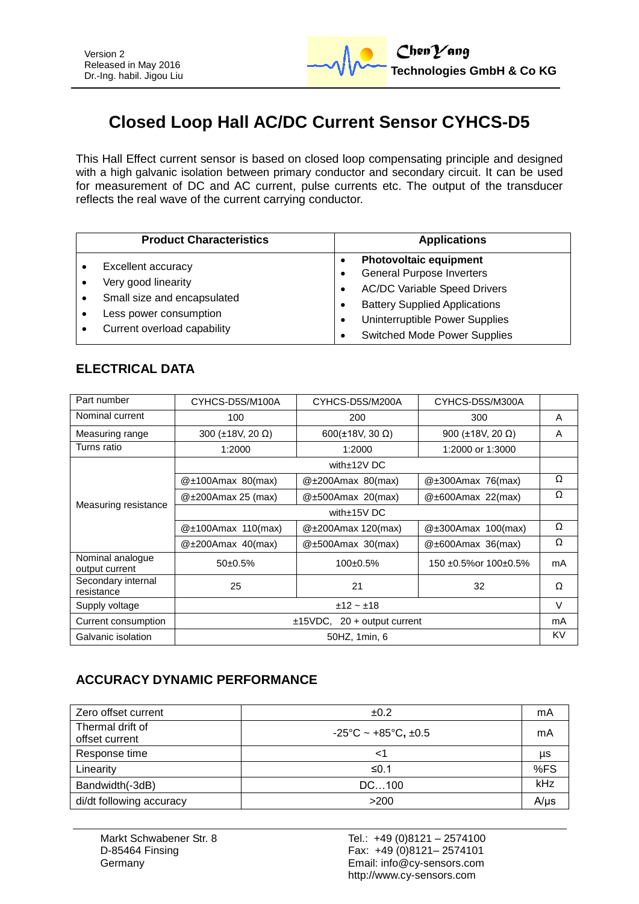

# **Closed Loop Hall AC/DC Current Sensor CYHCS-D5**

This Hall Effect current sensor is based on closed loop compensating principle and designed with a high galvanic isolation between primary conductor and secondary circuit. It can be used for measurement of DC and AC current, pulse currents etc. The output of the transducer reflects the real wave of the current carrying conductor.

| <b>Product Characteristics</b>                                                                                                    | <b>Applications</b>                                                                                                                                                                                                       |
|-----------------------------------------------------------------------------------------------------------------------------------|---------------------------------------------------------------------------------------------------------------------------------------------------------------------------------------------------------------------------|
| Excellent accuracy<br>Very good linearity<br>Small size and encapsulated<br>Less power consumption<br>Current overload capability | <b>Photovoltaic equipment</b><br><b>General Purpose Inverters</b><br><b>AC/DC Variable Speed Drivers</b><br><b>Battery Supplied Applications</b><br>Uninterruptible Power Supplies<br><b>Switched Mode Power Supplies</b> |

### **ELECTRICAL DATA**

| Part number                        | CYHCS-D5S/M100A                  | CYHCS-D5S/M200A         | CYHCS-D5S/M300A                |    |
|------------------------------------|----------------------------------|-------------------------|--------------------------------|----|
| Nominal current                    | 100                              | 200                     | 300                            | A  |
| Measuring range                    | 300 ( $\pm$ 18V, 20 $\Omega$ )   | 600(±18V, 30 $\Omega$ ) | 900 (±18V, 20 $\Omega$ )       | A  |
| Turns ratio                        | 1:2000                           | 1:2000                  | 1:2000 or 1:3000               |    |
|                                    | with $\pm$ 12V DC                |                         |                                |    |
| Measuring resistance               | $@±100Amax$ 80(max)              | $@\pm200$ Amax 80(max)  | @±300Amax 76(max)              | Ω  |
|                                    | $@\pm200$ Amax 25 (max)          | @±500Amax 20(max)       | $@\pm 600$ Amax 22(max)        | Ω  |
|                                    | with±15V DC                      |                         |                                |    |
|                                    | $@\pm100$ Amax 110(max)          | $@\pm200$ Amax 120(max) | @±300Amax 100(max)             | Ω  |
|                                    | $@\pm200$ Amax 40(max)           | $@\pm 500$ Amax 30(max) | $@\pm 600$ Amax 36(max)        | Ω  |
| Nominal analogue<br>output current | $50+0.5%$                        | $100+0.5%$              | $150 + 0.5\%$ or $100 + 0.5\%$ | mA |
| Secondary internal<br>resistance   | 25                               | 21                      | 32                             | Ω  |
| Supply voltage                     | $±12 - ±18$                      |                         | $\vee$                         |    |
| Current consumption                | $\pm$ 15VDC, 20 + output current |                         | mA                             |    |
| Galvanic isolation                 | 50HZ, 1min, 6                    |                         | KV                             |    |

#### **ACCURACY DYNAMIC PERFORMANCE**

| Zero offset current                | ±0.2                                          | mA        |
|------------------------------------|-----------------------------------------------|-----------|
| Thermal drift of<br>offset current | $-25^{\circ}$ C ~ +85 $^{\circ}$ C, $\pm$ 0.5 | mA        |
| Response time                      | <1                                            | μs        |
| Linearity                          | ≤0.1                                          | %FS       |
| Bandwidth(-3dB)                    | DC100                                         | kHz       |
| di/dt following accuracy           | >200                                          | $A/\mu s$ |